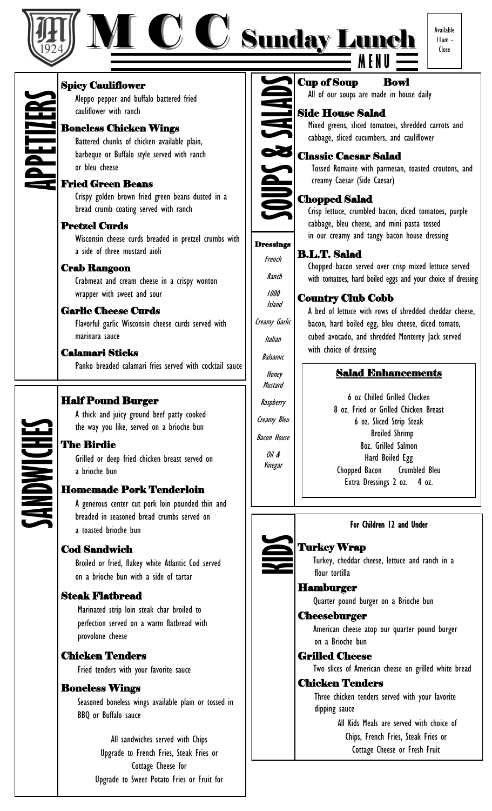

### M C C Sunday Lunch **M E N U**



Spicy Cauliflower Aleppo pepper and buffalo battered fried cauliflower with ranch **APPETIZERS**

#### Boneless Chicken Wings

Battered chunks of chicken available plain, barbeque or Buffalo style served with ranch or bleu cheese

#### Fried Green Beans

Crispy golden brown fried green beans dusted in a bread crumb coating served with ranch

#### Pretzel Curds

Wisconsin cheese curds breaded in pretzel crumbs with a side of three mustard aioli

#### Crab Rangoon

Crabmeat and cream cheese in a crispy wonton wrapper with sweet and sour

#### Garlic Cheese Curds

Flavorful garlic Wisconsin cheese curds served with marinara sauce

#### Calamari Sticks

Panko breaded calamari fries served with cocktail sauce

#### Half Pound Burger

A thick and juicy ground beef patty cooked the way you like, served on a brioche bun

#### The Birdie

Grilled or deep fried chicken breast served on a brioche bun

#### Homemade Pork Tenderloin

A generous center cut pork loin pounded thin and breaded in seasoned bread crumbs served on a toasted brioche bun

#### Cod Sandwich

Broiled or fried, flakey white Atlantic Cod served on a brioche bun with a side of tartar

#### Steak Flatbread

 Marinated strip loin steak char broiled to perfection served on a warm flatbread with provolone cheese

#### Chicken Tenders

Fried tenders with your favorite sauce

#### Boneless Wings

 Seasoned boneless wings available plain or tossed in BBQ or Buffalo sauce

> All sandwiches served with Chips Upgrade to French Fries, Steak Fries or Cottage Cheese for Upgrade to Sweet Potato Fries or Fruit for



French

Ranch

1000 Island

Creamy Garlic

Italian

Balsamic

Honey Mustard

**Raspberry** 

Creamy Bleu

Bacon House

Oil & Vinegar

#### Chopped Salad

creamy Caesar (Side Caesar)

Crisp lettuce, crumbled bacon, diced tomatoes, purple cabbage, bleu cheese, and mini pasta tossed in our creamy and tangy bacon house dressing

All of our soups are made in house daily

cabbage, sliced cucumbers, and cauliflower

Mixed greens, sliced tomatoes, shredded carrots and

Tossed Romaine with parmesan, toasted croutons, and

#### B.L.T. Salad **Dressings**

 Chopped bacon served over crisp mixed lettuce served with tomatoes, hard boiled eggs and your choice of dressing

#### Country Club Cobb

 A bed of lettuce with rows of shredded cheddar cheese, bacon, hard boiled egg, bleu cheese, diced tomato, cubed avocado, and shredded Monterey Jack served with choice of dressing

#### Salad Enhancements

6 oz Chilled Grilled Chicken 8 oz. Fried or Grilled Chicken Breast 6 oz. Sliced Strip Steak Broiled Shrimp 8oz. Grilled Salmon Hard Boiled Egg Chopped Bacon Crumbled Bleu Extra Dressings 2 oz. 4 oz.



#### For Children 12 and Under

#### Turkey Wrap

 Turkey, cheddar cheese, lettuce and ranch in a flour tortilla

Hamburger

Quarter pound burger on a Brioche bun

#### **Cheeseburger**

 American cheese atop our quarter pound burger on a Brioche bun

#### Grilled Cheese

Two slices of American cheese on grilled white bread

#### Chicken Tenders

 Three chicken tenders served with your favorite dipping sauce

> All Kids Meals are served with choice of Chips, French Fries, Steak Fries or Cottage Cheese or Fresh Fruit